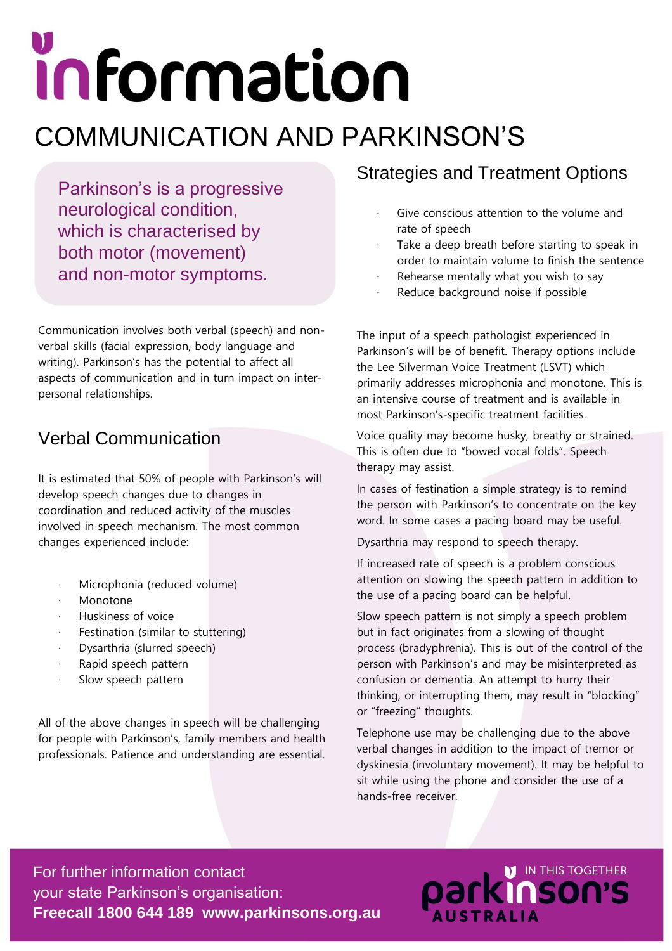# information COMMUNICATION AND PARKINSON'S

Parkinson's is a progressive neurological condition, which is characterised by both motor (movement) and non-motor symptoms.

Communication involves both verbal (speech) and nonverbal skills (facial expression, body language and writing). Parkinson's has the potential to affect all aspects of communication and in turn impact on interpersonal relationships.

#### Verbal Communication

It is estimated that 50% of people with Parkinson's will develop speech changes due to changes in coordination and reduced activity of the muscles involved in speech mechanism. The most common changes experienced include:

- Microphonia (reduced volume)
- **Monotone**
- · Huskiness of voice
- Festination (similar to stuttering)
- Dysarthria (slurred speech)
- · Rapid speech pattern
- Slow speech pattern

All of the above changes in speech will be challenging for people with Parkinson's, family members and health professionals. Patience and understanding are essential.

### Strategies and Treatment Options

- Give conscious attention to the volume and rate of speech
- Take a deep breath before starting to speak in order to maintain volume to finish the sentence
- Rehearse mentally what you wish to say
- Reduce background noise if possible

The input of a speech pathologist experienced in Parkinson's will be of benefit. Therapy options include the Lee Silverman Voice Treatment (LSVT) which primarily addresses microphonia and monotone. This is an intensive course of treatment and is available in most Parkinson's-specific treatment facilities.

Voice quality may become husky, breathy or strained. This is often due to "bowed vocal folds". Speech therapy may assist.

In cases of festination a simple strategy is to remind the person with Parkinson's to concentrate on the key word. In some cases a pacing board may be useful.

Dysarthria may respond to speech therapy.

If increased rate of speech is a problem conscious attention on slowing the speech pattern in addition to the use of a pacing board can be helpful.

Slow speech pattern is not simply a speech problem but in fact originates from a slowing of thought process (bradyphrenia). This is out of the control of the person with Parkinson's and may be misinterpreted as confusion or dementia. An attempt to hurry their thinking, or interrupting them, may result in "blocking" or "freezing" thoughts.

Telephone use may be challenging due to the above verbal changes in addition to the impact of tremor or dyskinesia (involuntary movement). It may be helpful to sit while using the phone and consider the use of a hands-free receiver.

**Darkinson's** 

For further information contact your state Parkinson's organisation: **Freecall 1800 644 189 www.parkinsons.org.au**